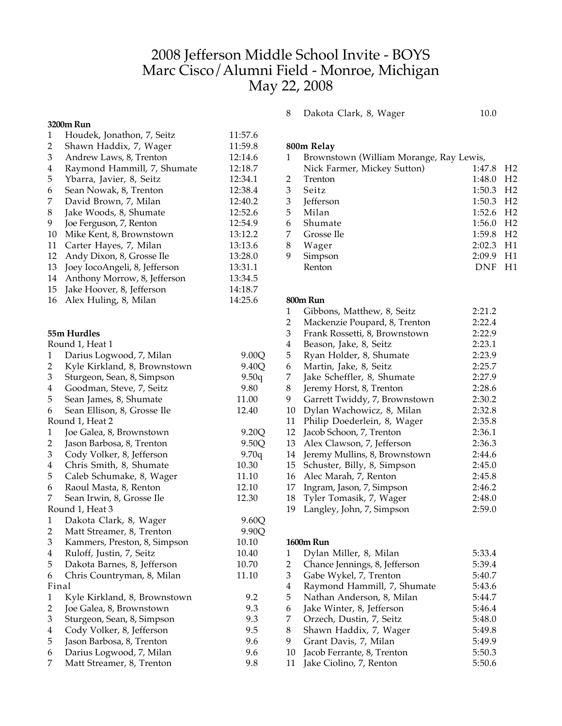# 2008 Jefferson Middle School Invite - BOYS Marc Cisco/Alumni Field - Monroe, Michigan May 22, 2008

## **3200m Run**

|                | 3200m Kun                     |         |
|----------------|-------------------------------|---------|
| 1              | Houdek, Jonathon, 7, Seitz    | 11:57.6 |
| 2              | Shawn Haddix, 7, Wager        | 11:59.8 |
| 3              | Andrew Laws, 8, Trenton       | 12:14.6 |
| 4              | Raymond Hammill, 7, Shumate   | 12:18.7 |
| 5              | Ybarra, Javier, 8, Seitz      | 12:34.1 |
| 6              | Sean Nowak, 8, Trenton        | 12:38.4 |
| 7              | David Brown, 7, Milan         | 12:40.2 |
| 8              | Jake Woods, 8, Shumate        | 12:52.6 |
| 9              | Joe Ferguson, 7, Renton       | 12:54.9 |
| 10             | Mike Kent, 8, Brownstown      | 13:12.2 |
| 11             | Carter Hayes, 7, Milan        | 13:13.6 |
| 12             | Andy Dixon, 8, Grosse Ile     | 13:28.0 |
| 13             | Joey IocoAngeli, 8, Jefferson | 13:31.1 |
| 14             | Anthony Morrow, 8, Jefferson  | 13:34.5 |
| 15             | Jake Hoover, 8, Jefferson     | 14:18.7 |
| 16             | Alex Huling, 8, Milan         | 14:25.6 |
|                |                               |         |
|                |                               |         |
|                | 55m Hurdles                   |         |
|                | Round 1, Heat 1               |         |
| 1              | Darius Logwood, 7, Milan      | 9.00Q   |
| $\overline{c}$ | Kyle Kirkland, 8, Brownstown  | 9.40Q   |
| 3              | Sturgeon, Sean, 8, Simpson    | 9.50q   |
| 4              | Goodman, Steve, 7, Seitz      | 9.80    |
| 5              | Sean James, 8, Shumate        | 11.00   |
| 6              | Sean Ellison, 8, Grosse Ile   | 12.40   |
|                | Round 1, Heat 2               |         |
| 1              | Joe Galea, 8, Brownstown      | 9.20Q   |
| $\overline{2}$ | Jason Barbosa, 8, Trenton     | 9.50Q   |
| 3              | Cody Volker, 8, Jefferson     | 9.70q   |
| 4              | Chris Smith, 8, Shumate       | 10.30   |
| 5              | Caleb Schumake, 8, Wager      | 11.10   |
| 6              | Raoul Masta, 8, Renton        | 12.10   |
| 7              | Sean Irwin, 8, Grosse Ile     | 12.30   |
|                | Round 1, Heat 3               |         |
| 1              | Dakota Clark, 8, Wager        | 9.60Q   |
| 2              | Matt Streamer, 8, Trenton     | 9.90Q   |
| 3              | Kammers, Preston, 8, Simpson  | 10.10   |
| 4              | Ruloff, Justin, 7, Seitz      | 10.40   |
| 5              | Dakota Barnes, 8, Jefferson   | 10.70   |
| 6              | Chris Countryman, 8, Milan    | 11.10   |
| Final          |                               |         |
| 1              | Kyle Kirkland, 8, Brownstown  | 9.2     |
| $\overline{2}$ | Joe Galea, 8, Brownstown      | 9.3     |
| 3              | Sturgeon, Sean, 8, Simpson    | 9.3     |
| 4              | Cody Volker, 8, Jefferson     | 9.5     |
|                |                               |         |

| 4  | Cody Volker, 8, Jefferson | 9.5 |
|----|---------------------------|-----|
| 5. | Jason Barbosa, 8, Trenton | 9.6 |
| 6  | Darius Logwood, 7, Milan  | 9.6 |
| 7  | Matt Streamer, 8, Trenton | 9.8 |

## 8 Dakota Clark, 8, Wager 10.0

|  | 800m Relay |
|--|------------|
|--|------------|

| 1 | Brownstown (William Morange, Ray Lewis, |        |                |
|---|-----------------------------------------|--------|----------------|
|   | Nick Farmer, Mickey Sutton)             | 1:47.8 | H <sub>2</sub> |
| 2 | Trenton                                 | 1:48.0 | H <sub>2</sub> |
| 3 | Seitz                                   | 1:50.3 | H <sub>2</sub> |
| 3 | <b>Jefferson</b>                        | 1:50.3 | H2             |
| 5 | Milan                                   | 1:52.6 | H <sub>2</sub> |
| 6 | Shumate                                 | 1:56.0 | H <sub>2</sub> |
| 7 | Grosse Ile                              | 1:59.8 | - H2           |
| 8 | Wager                                   | 2:02.3 | H1             |
| 9 | Simpson                                 | 2:09.9 | H1             |
|   | Renton                                  | DNF    | H1             |

#### **800m Run**

| 1  | Gibbons, Matthew, 8, Seitz    | 2:21.2 |
|----|-------------------------------|--------|
| 2  | Mackenzie Poupard, 8, Trenton | 2:22.4 |
| 3  | Frank Rossetti, 8, Brownstown | 2:22.9 |
| 4  | Beason, Jake, 8, Seitz        | 2:23.1 |
| 5  | Ryan Holder, 8, Shumate       | 2:23.9 |
| 6  | Martin, Jake, 8, Seitz        | 2:25.7 |
| 7  | Jake Scheffler, 8, Shumate    | 2:27.9 |
| 8  | Jeremy Horst, 8, Trenton      | 2:28.6 |
| 9  | Garrett Twiddy, 7, Brownstown | 2:30.2 |
| 10 | Dylan Wachowicz, 8, Milan     | 2:32.8 |
| 11 | Philip Doederlein, 8, Wager   | 2:35.8 |
| 12 | Jacob Schoon, 7, Trenton      | 2:36.1 |
| 13 | Alex Clawson, 7, Jefferson    | 2:36.3 |
| 14 | Jeremy Mullins, 8, Brownstown | 2:44.6 |
| 15 | Schuster, Billy, 8, Simpson   | 2:45.0 |
| 16 | Alec Marah, 7, Renton         | 2:45.8 |
| 17 | Ingram, Jason, 7, Simpson     | 2:46.2 |
| 18 | Tyler Tomasik, 7, Wager       | 2:48.0 |
| 10 | $\overline{a}$                | .      |

# 19 Langley, John, 7, Simpson 2:59.0

### **1600m Run**

|                | Dylan Miller, 8, Milan        | 5:33.4 |
|----------------|-------------------------------|--------|
| $\overline{2}$ | Chance Jennings, 8, Jefferson | 5:39.4 |
| 3              | Gabe Wykel, 7, Trenton        | 5:40.7 |
| 4              | Raymond Hammill, 7, Shumate   | 5:43.6 |
| 5              | Nathan Anderson, 8, Milan     | 5:44.7 |
| 6              | Jake Winter, 8, Jefferson     | 5:46.4 |
| 7              | Orzech, Dustin, 7, Seitz      | 5:48.0 |
| 8              | Shawn Haddix, 7, Wager        | 5:49.8 |
| 9              | Grant Davis, 7, Milan         | 5:49.9 |
| 10             | Jacob Ferrante, 8, Trenton    | 5:50.3 |
| 11             | Jake Ciolino, 7, Renton       | 5:50.6 |
|                |                               |        |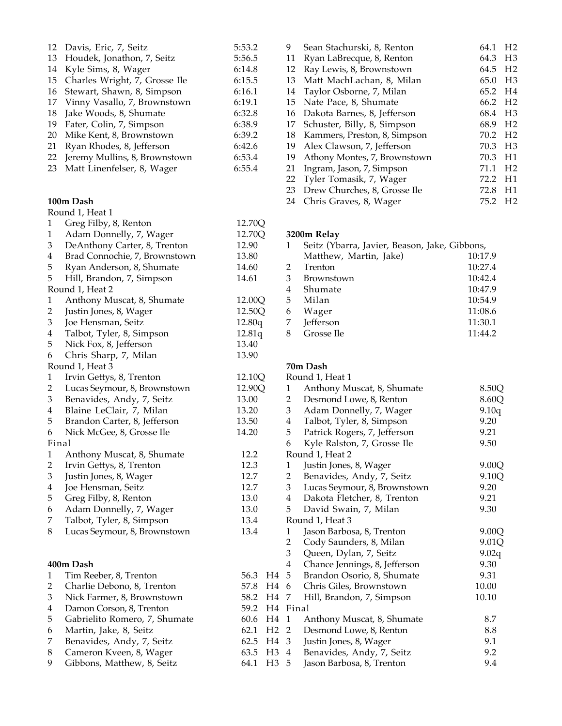| 12 | Davis, Eric, 7, Seitz         | 5:53.2 |
|----|-------------------------------|--------|
|    | 13 Houdek, Jonathon, 7, Seitz | 5:56.5 |
| 14 | Kyle Sims, 8, Wager           | 6:14.8 |
| 15 | Charles Wright, 7, Grosse Ile | 6:15.5 |
| 16 | Stewart, Shawn, 8, Simpson    | 6:16.1 |
| 17 | Vinny Vasallo, 7, Brownstown  | 6:19.1 |
| 18 | Jake Woods, 8, Shumate        | 6:32.8 |
| 19 | Fater, Colin, 7, Simpson      | 6:38.9 |
| 20 | Mike Kent, 8, Brownstown      | 6:39.2 |
| 21 | Ryan Rhodes, 8, Jefferson     | 6:42.6 |
| 22 | Jeremy Mullins, 8, Brownstown | 6:53.4 |
| 23 | Matt Linenfelser, 8, Wager    | 6:55.4 |
|    |                               |        |

#### **100m Dash**

|                         | Round 1, Heat 1               |        |                |
|-------------------------|-------------------------------|--------|----------------|
| 1                       | Greg Filby, 8, Renton         | 12.70Q |                |
| $\mathbf{1}$            | Adam Donnelly, 7, Wager       | 12.70Q |                |
| 3                       | DeAnthony Carter, 8, Trenton  | 12.90  |                |
| $\overline{\mathbf{4}}$ | Brad Connochie, 7, Brownstown | 13.80  |                |
| 5                       | Ryan Anderson, 8, Shumate     | 14.60  |                |
| 5                       | Hill, Brandon, 7, Simpson     | 14.61  |                |
|                         | Round 1, Heat 2               |        |                |
| $\mathbf{1}$            | Anthony Muscat, 8, Shumate    | 12.00Q |                |
| $\overline{2}$          | Justin Jones, 8, Wager        | 12.50Q |                |
| 3                       | Joe Hensman, Seitz            | 12.80q |                |
| $\overline{4}$          | Talbot, Tyler, 8, Simpson     | 12.81q |                |
| 5                       | Nick Fox, 8, Jefferson        | 13.40  |                |
| 6                       | Chris Sharp, 7, Milan         | 13.90  |                |
|                         | Round 1, Heat 3               |        |                |
| 1                       | Irvin Gettys, 8, Trenton      | 12.10Q |                |
| $\overline{2}$          | Lucas Seymour, 8, Brownstown  | 12.90Q |                |
| 3                       | Benavides, Andy, 7, Seitz     | 13.00  |                |
| 4                       | Blaine LeClair, 7, Milan      | 13.20  |                |
| 5                       | Brandon Carter, 8, Jefferson  | 13.50  |                |
| 6                       | Nick McGee, 8, Grosse Ile     | 14.20  |                |
| Final                   |                               |        |                |
| $\mathbf{1}$            | Anthony Muscat, 8, Shumate    | 12.2   |                |
| $\overline{c}$          | Irvin Gettys, 8, Trenton      | 12.3   |                |
| 3                       | Justin Jones, 8, Wager        | 12.7   |                |
| $\overline{4}$          | Joe Hensman, Seitz            | 12.7   |                |
| 5                       | Greg Filby, 8, Renton         | 13.0   |                |
| 6                       | Adam Donnelly, 7, Wager       | 13.0   |                |
| 7                       | Talbot, Tyler, 8, Simpson     | 13.4   |                |
| 8                       | Lucas Seymour, 8, Brownstown  | 13.4   |                |
|                         | 400m Dash                     |        |                |
| 1                       | Tim Reeber, 8, Trenton        | 56.3   | H <sub>4</sub> |
| $\overline{c}$          | Charlie Debono, 8, Trenton    | 57.8   | H <sub>4</sub> |
| 3                       | Nick Farmer, 8, Brownstown    | 58.2   | H <sub>4</sub> |
| $\overline{4}$          | Damon Corson, 8, Trenton      | 59.2   | H <sub>4</sub> |
| 5                       | Gabrielito Romero, 7, Shumate | 60.6   | H <sub>4</sub> |
| 6                       | Martin, Jake, 8, Seitz        | 62.1   | H <sub>2</sub> |
| 7                       | Benavides, Andy, 7, Seitz     | 62.5   | H4             |
| 8                       | Cameron Kveen, 8, Wager       | 63.5   | H <sub>3</sub> |
| 9                       | Gibbons, Matthew, 8, Seitz    | 64.1   | H <sub>3</sub> |
|                         |                               |        |                |

| 9  | Sean Stachurski, 8, Renton   | 64.1 | H <sub>2</sub> |
|----|------------------------------|------|----------------|
| 11 | Ryan LaBrecque, 8, Renton    | 64.3 | H <sub>3</sub> |
| 12 | Ray Lewis, 8, Brownstown     | 64.5 | H <sub>2</sub> |
| 13 | Matt MachLachan, 8, Milan    | 65.0 | H <sub>3</sub> |
| 14 | Taylor Osborne, 7, Milan     | 65.2 | H4             |
| 15 | Nate Pace, 8, Shumate        | 66.2 | H <sub>2</sub> |
| 16 | Dakota Barnes, 8, Jefferson  | 68.4 | H <sub>3</sub> |
| 17 | Schuster, Billy, 8, Simpson  | 68.9 | H <sub>2</sub> |
| 18 | Kammers, Preston, 8, Simpson | 70.2 | H <sub>2</sub> |
| 19 | Alex Clawson, 7, Jefferson   | 70.3 | H <sub>3</sub> |
| 19 | Athony Montes, 7, Brownstown | 70.3 | H1             |
| 21 | Ingram, Jason, 7, Simpson    | 71.1 | H <sub>2</sub> |
| 22 | Tyler Tomasik, 7, Wager      | 72.2 | H1             |
| 23 | Drew Churches, 8, Grosse Ile | 72.8 | H1             |
| 24 | Chris Graves, 8, Wager       | 75.2 | H <sub>2</sub> |

# **3200m Relay**

| Seitz (Ybarra, Javier, Beason, Jake, Gibbons, |         |
|-----------------------------------------------|---------|
| Matthew, Martin, Jake)                        | 10:17.9 |
| Trenton                                       | 10:27.4 |
| Brownstown                                    | 10:42.4 |
| Shumate                                       | 10:47.9 |
| Milan                                         | 10:54.9 |
| Wager                                         | 11:08.6 |
| Jefferson                                     | 11:30.1 |
| Grosse Ile                                    | 11:44.2 |
|                                               |         |

#### **70m Dash**

|                  |                         | Round 1, Heat 1               |       |
|------------------|-------------------------|-------------------------------|-------|
|                  | 1                       | Anthony Muscat, 8, Shumate    | 8.50Q |
|                  | 2                       | Desmond Lowe, 8, Renton       | 8.60Q |
|                  | 3                       | Adam Donnelly, 7, Wager       | 9.10q |
|                  | $\overline{4}$          | Talbot, Tyler, 8, Simpson     | 9.20  |
|                  | 5                       | Patrick Rogers, 7, Jefferson  | 9.21  |
|                  | 6                       | Kyle Ralston, 7, Grosse Ile   | 9.50  |
|                  |                         | Round 1, Heat 2               |       |
|                  | $\mathbf{1}$            | Justin Jones, 8, Wager        | 9.00Q |
|                  | $\overline{2}$          | Benavides, Andy, 7, Seitz     | 9.10Q |
|                  | $\overline{3}$          | Lucas Seymour, 8, Brownstown  | 9.20  |
|                  | 4                       | Dakota Fletcher, 8, Trenton   | 9.21  |
|                  | 5                       | David Swain, 7, Milan         | 9.30  |
|                  |                         | Round 1, Heat 3               |       |
|                  | 1                       | Jason Barbosa, 8, Trenton     | 9.00Q |
|                  | $\overline{2}$          | Cody Saunders, 8, Milan       | 9.01Q |
|                  | 3                       | Queen, Dylan, 7, Seitz        | 9.02q |
|                  | $\overline{\mathbf{4}}$ | Chance Jennings, 8, Jefferson | 9.30  |
| H4 5             |                         | Brandon Osorio, 8, Shumate    | 9.31  |
| H4 6             |                         | Chris Giles, Brownstown       | 10.00 |
| H4 7             |                         | Hill, Brandon, 7, Simpson     | 10.10 |
| H4 Final         |                         |                               |       |
| H4               | 1                       | Anthony Muscat, 8, Shumate    | 8.7   |
| H <sub>2</sub> 2 |                         | Desmond Lowe, 8, Renton       | 8.8   |
| H4 3             |                         | Justin Jones, 8, Wager        | 9.1   |
| H3 4             |                         | Benavides, Andy, 7, Seitz     | 9.2   |
| H3               | 5                       | Jason Barbosa, 8, Trenton     | 9.4   |
|                  |                         |                               |       |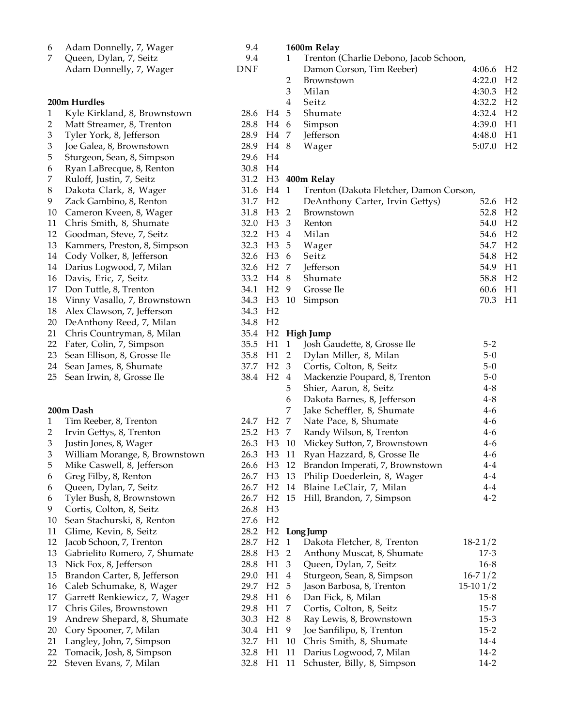| 6                           | Adam Donnelly, 7, Wager        | 9.4                   |                  |                         | 1600m Relay                                |                       |                |
|-----------------------------|--------------------------------|-----------------------|------------------|-------------------------|--------------------------------------------|-----------------------|----------------|
| 7                           | Queen, Dylan, 7, Seitz         | 9.4                   |                  | $\mathbf{1}$            | Trenton (Charlie Debono, Jacob Schoon,     |                       |                |
|                             | Adam Donnelly, 7, Wager        | <b>DNF</b>            |                  |                         | Damon Corson, Tim Reeber)                  | 4:06.6                | H <sub>2</sub> |
|                             |                                |                       |                  | $\overline{2}$          | Brownstown                                 | 4:22.0 H <sub>2</sub> |                |
|                             |                                |                       |                  | 3                       | Milan                                      | 4:30.3 H <sub>2</sub> |                |
|                             | 200m Hurdles                   |                       |                  | $\overline{\mathbf{4}}$ | Seitz                                      | 4:32.2 H <sub>2</sub> |                |
| $\mathbf{1}$                | Kyle Kirkland, 8, Brownstown   | 28.6 H4 5             |                  |                         | Shumate                                    | 4:32.4 H <sub>2</sub> |                |
| 2                           | Matt Streamer, 8, Trenton      | 28.8 H4 6             |                  |                         | Simpson                                    | 4:39.0 H1             |                |
| $\ensuremath{\mathfrak{Z}}$ | Tyler York, 8, Jefferson       | 28.9 H4 7             |                  |                         | Jefferson                                  | 4:48.0                | H1             |
| 3                           | Joe Galea, 8, Brownstown       | 28.9 H4 8             |                  |                         | Wager                                      | 5:07.0 H2             |                |
| 5                           | Sturgeon, Sean, 8, Simpson     | 29.6                  | H4               |                         |                                            |                       |                |
| 6                           | Ryan LaBrecque, 8, Renton      | 30.8 H4               |                  |                         |                                            |                       |                |
| 7                           | Ruloff, Justin, 7, Seitz       |                       |                  |                         | 31.2 H3 400m Relay                         |                       |                |
| $\boldsymbol{8}$            | Dakota Clark, 8, Wager         | 31.6 H4 1             |                  |                         | Trenton (Dakota Fletcher, Damon Corson,    |                       |                |
| 9                           | Zack Gambino, 8, Renton        | 31.7 H <sub>2</sub>   |                  |                         | DeAnthony Carter, Irvin Gettys)            | 52.6                  | H <sub>2</sub> |
| 10                          | Cameron Kveen, 8, Wager        | 31.8                  | H <sub>3</sub> 2 |                         | Brownstown                                 | 52.8                  | H2             |
| 11                          | Chris Smith, 8, Shumate        | 32.0 H3 3             |                  |                         | Renton                                     | 54.0                  | H <sub>2</sub> |
| 12                          | Goodman, Steve, 7, Seitz       | 32.2 H3 4             |                  |                         | Milan                                      | 54.6                  | H <sub>2</sub> |
| 13                          | Kammers, Preston, 8, Simpson   | 32.3                  | H <sub>3</sub>   | -5                      | Wager                                      | 54.7                  | H <sub>2</sub> |
| 14                          | Cody Volker, 8, Jefferson      | 32.6                  | H3 6             |                         | Seitz                                      | 54.8                  | H <sub>2</sub> |
| 14                          | Darius Logwood, 7, Milan       | 32.6 H <sub>2</sub> 7 |                  |                         | Jefferson                                  | 54.9                  | H1             |
| 16                          | Davis, Eric, 7, Seitz          | 33.2 H4 8             |                  |                         | Shumate                                    | 58.8                  | H <sub>2</sub> |
| 17                          | Don Tuttle, 8, Trenton         | 34.1 H <sub>2</sub> 9 |                  |                         | Grosse Ile                                 | 60.6                  | H1             |
| 18                          | Vinny Vasallo, 7, Brownstown   | 34.3 H3 10            |                  |                         | Simpson                                    | 70.3                  | H1             |
| 18                          | Alex Clawson, 7, Jefferson     | 34.3                  | H <sub>2</sub>   |                         |                                            |                       |                |
| 20                          | DeAnthony Reed, 7, Milan       | 34.8                  | H <sub>2</sub>   |                         |                                            |                       |                |
| 21                          | Chris Countryman, 8, Milan     |                       |                  |                         | 35.4 H2 High Jump                          |                       |                |
| 22                          | Fater, Colin, 7, Simpson       | 35.5 H1 1             |                  |                         | Josh Gaudette, 8, Grosse Ile               | $5-2$                 |                |
| 23                          | Sean Ellison, 8, Grosse Ile    | 35.8 H1 2             |                  |                         | Dylan Miller, 8, Milan                     | $5-0$                 |                |
| 24                          | Sean James, 8, Shumate         | 37.7 H2 3             |                  |                         | Cortis, Colton, 8, Seitz                   | $5-0$                 |                |
| 25                          | Sean Irwin, 8, Grosse Ile      | 38.4 H <sub>2</sub> 4 |                  |                         | Mackenzie Poupard, 8, Trenton              | $5-0$                 |                |
|                             |                                |                       |                  | 5                       | Shier, Aaron, 8, Seitz                     | $4 - 8$               |                |
|                             |                                |                       |                  | 6                       | Dakota Barnes, 8, Jefferson                | $4 - 8$               |                |
|                             | 200m Dash                      |                       |                  | 7                       | Jake Scheffler, 8, Shumate                 | $4-6$                 |                |
| $\mathbf{1}$                | Tim Reeber, 8, Trenton         | 24.7 H <sub>2</sub>   |                  | 7                       | Nate Pace, 8, Shumate                      | $4 - 6$               |                |
| $\overline{2}$              | Irvin Gettys, 8, Trenton       | 25.2 H3 7             |                  |                         | Randy Wilson, 8, Trenton                   | $4 - 6$               |                |
| 3                           | Justin Jones, 8, Wager         |                       |                  |                         | 26.3 H3 10 Mickey Sutton, 7, Brownstown    | $4 - 6$               |                |
| $\ensuremath{\mathfrak{Z}}$ | William Morange, 8, Brownstown |                       |                  |                         | 26.3 H3 11 Ryan Hazzard, 8, Grosse Ile     | $4-6$                 |                |
| 5                           | Mike Caswell, 8, Jefferson     |                       |                  |                         | 26.6 H3 12 Brandon Imperati, 7, Brownstown | $4-4$                 |                |
| 6                           | Greg Filby, 8, Renton          |                       |                  |                         | 26.7 H3 13 Philip Doederlein, 8, Wager     | $4 - 4$               |                |
| 6                           | Queen, Dylan, 7, Seitz         |                       |                  |                         | 26.7 H2 14 Blaine LeClair, 7, Milan        | $4 - 4$               |                |
| 6                           | Tyler Bush, 8, Brownstown      |                       |                  |                         | 26.7 H2 15 Hill, Brandon, 7, Simpson       | $4 - 2$               |                |
| 9                           | Cortis, Colton, 8, Seitz       | 26.8                  | H3               |                         |                                            |                       |                |
| 10                          | Sean Stachurski, 8, Renton     | 27.6 H2               |                  |                         |                                            |                       |                |
| 11                          | Glime, Kevin, 8, Seitz         |                       |                  |                         | 28.2 H2 Long Jump                          |                       |                |
| 12                          | Jacob Schoon, 7, Trenton       | 28.7 H2 1             |                  |                         | Dakota Fletcher, 8, Trenton                | $18-21/2$             |                |
| 13                          | Gabrielito Romero, 7, Shumate  | 28.8                  | H <sub>3</sub> 2 |                         | Anthony Muscat, 8, Shumate                 | $17-3$                |                |
| 13                          | Nick Fox, 8, Jefferson         | 28.8 H1 3             |                  |                         | Queen, Dylan, 7, Seitz                     | $16 - 8$              |                |
| 15                          | Brandon Carter, 8, Jefferson   | 29.0 H1 4             |                  |                         | Sturgeon, Sean, 8, Simpson                 | $16 - 71/2$           |                |
| 16                          | Caleb Schumake, 8, Wager       | 29.7 H <sub>2</sub> 5 |                  |                         | Jason Barbosa, 8, Trenton                  | $15-101/2$            |                |
| 17                          | Garrett Renkiewicz, 7, Wager   | 29.8                  | H1 6             |                         | Dan Fick, 8, Milan                         | $15 - 8$              |                |
| 17                          | Chris Giles, Brownstown        | 29.8 H1 7             |                  |                         | Cortis, Colton, 8, Seitz                   | $15 - 7$              |                |
| 19                          | Andrew Shepard, 8, Shumate     | 30.3 H <sub>2</sub> 8 |                  |                         | Ray Lewis, 8, Brownstown                   | $15-3$                |                |
| 20                          | Cory Spooner, 7, Milan         | 30.4 H1 9             |                  |                         | Joe Sanfilipo, 8, Trenton                  | $15 - 2$              |                |
| 21                          | Langley, John, 7, Simpson      | 32.7 H1 10            |                  |                         | Chris Smith, 8, Shumate                    | $14 - 4$              |                |
| 22                          | Tomacik, Josh, 8, Simpson      | 32.8 H1 11            |                  |                         | Darius Logwood, 7, Milan                   | $14-2$                |                |
| 22                          | Steven Evans, 7, Milan         |                       |                  |                         | 32.8 H1 11 Schuster, Billy, 8, Simpson     | $14-2$                |                |
|                             |                                |                       |                  |                         |                                            |                       |                |